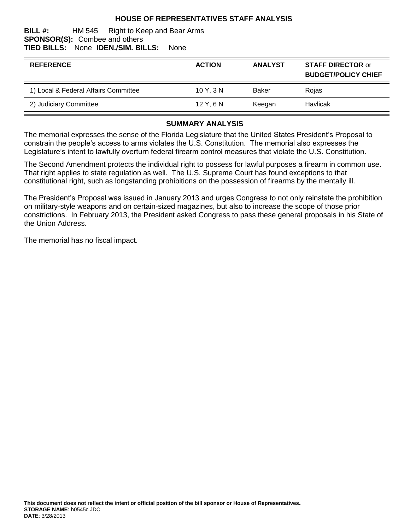## **HOUSE OF REPRESENTATIVES STAFF ANALYSIS**

#### **BILL #:** HM 545 Right to Keep and Bear Arms **SPONSOR(S):** Combee and others **TIED BILLS:** None **IDEN./SIM. BILLS:** None

| <b>REFERENCE</b>                     | <b>ACTION</b> | <b>ANALYST</b> | <b>STAFF DIRECTOR or</b><br><b>BUDGET/POLICY CHIEF</b> |
|--------------------------------------|---------------|----------------|--------------------------------------------------------|
| 1) Local & Federal Affairs Committee | 10Y, 3N       | Baker          | Rojas                                                  |
| 2) Judiciary Committee               | 12 Y, 6 N     | Keegan         | Havlicak                                               |

#### **SUMMARY ANALYSIS**

The memorial expresses the sense of the Florida Legislature that the United States President's Proposal to constrain the people's access to arms violates the U.S. Constitution. The memorial also expresses the Legislature's intent to lawfully overturn federal firearm control measures that violate the U.S. Constitution.

The Second Amendment protects the individual right to possess for lawful purposes a firearm in common use. That right applies to state regulation as well. The U.S. Supreme Court has found exceptions to that constitutional right, such as longstanding prohibitions on the possession of firearms by the mentally ill.

The President's Proposal was issued in January 2013 and urges Congress to not only reinstate the prohibition on military-style weapons and on certain-sized magazines, but also to increase the scope of those prior constrictions. In February 2013, the President asked Congress to pass these general proposals in his State of the Union Address.

The memorial has no fiscal impact.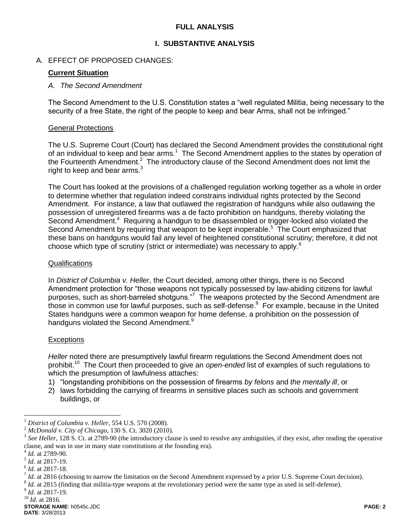## **FULL ANALYSIS**

### **I. SUBSTANTIVE ANALYSIS**

### A. EFFECT OF PROPOSED CHANGES:

### **Current Situation**

#### *A. The Second Amendment*

The Second Amendment to the U.S. Constitution states a "well regulated Militia, being necessary to the security of a free State, the right of the people to keep and bear Arms, shall not be infringed."

#### General Protections

The U.S. Supreme Court (Court) has declared the Second Amendment provides the constitutional right of an individual to keep and bear arms.<sup>1</sup> The Second Amendment applies to the states by operation of the Fourteenth Amendment.<sup>2</sup> The introductory clause of the Second Amendment does not limit the right to keep and bear arms. $3$ 

The Court has looked at the provisions of a challenged regulation working together as a whole in order to determine whether that regulation indeed constrains individual rights protected by the Second Amendment. For instance, a law that outlawed the registration of handguns while also outlawing the possession of unregistered firearms was a de facto prohibition on handguns, thereby violating the Second Amendment.<sup>4</sup> Requiring a handgun to be disassembled or trigger-locked also violated the Second Amendment by requiring that weapon to be kept inoperable.<sup>5</sup> The Court emphasized that these bans on handguns would fail any level of heightened constitutional scrutiny; therefore, it did not choose which type of scrutiny (strict or intermediate) was necessary to apply.<sup>6</sup>

#### Qualifications

In *District of Columbia v. Heller*, the Court decided, among other things, there is no Second Amendment protection for "those weapons not typically possessed by law-abiding citizens for lawful purposes, such as short-barreled shotguns."<sup>7</sup> The weapons protected by the Second Amendment are those in common use for lawful purposes, such as self-defense.<sup>8</sup> For example, because in the United States handguns were a common weapon for home defense, a prohibition on the possession of handguns violated the Second Amendment.<sup>9</sup>

#### **Exceptions**

*Heller* noted there are presumptively lawful firearm regulations the Second Amendment does not prohibit.<sup>10</sup> The Court then proceeded to give an *open-ended* list of examples of such regulations to which the presumption of lawfulness attaches:

- 1) "longstanding prohibitions on the possession of firearms *by felons* and *the mentally ill*, or
- 2) laws forbidding the carrying of firearms in sensitive places such as schools and government buildings, or

 $\overline{a}$ 

<sup>1</sup> *District of Columbia v. Heller*, 554 U.S. 570 (2008).

<sup>&</sup>lt;sup>2</sup> *McDonald v. City of Chicago*, 130 S. Ct. 3020 (2010).<br><sup>3</sup> See Helley, 128 S. Ct. at 2780, 00 (the introductory also

*See Heller*, 128 S. Ct. at 2789-90 (the introductory clause is used to resolve any ambiguities, if they exist, after reading the operative clause, and was in use in many state constitutions at the founding era).

<sup>4</sup> *Id.* at 2789-90.

<sup>5</sup> *Id.* at 2817-19.

<sup>6</sup> *Id.* at 2817-18.

<sup>&</sup>lt;sup>7</sup> *Id.* at 2816 (choosing to narrow the limitation on the Second Amendment expressed by a prior U.S. Supreme Court decision).

 $^{8}$  *Id.* at 2815 (finding that militia-type weapons at the revolutionary period were the same type as used in self-defense).

<sup>9</sup> *Id.* at 2817-19.

<sup>10</sup> *Id.* at 2816.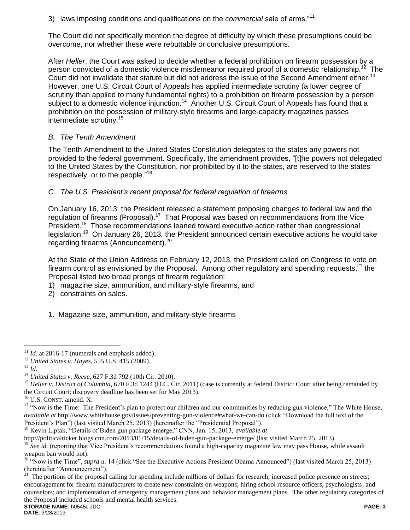3) laws imposing conditions and qualifications on the *commercial* sale of arms."<sup>11</sup>

The Court did not specifically mention the degree of difficulty by which these presumptions could be overcome, nor whether these were rebuttable or conclusive presumptions.

After *Heller*, the Court was asked to decide whether a federal prohibition on firearm possession by a person convicted of a domestic violence misdemeanor required proof of a domestic relationship.<sup>12</sup>  $\frac{2}{3}$  The Court did not invalidate that statute but did not address the issue of the Second Amendment either.<sup>13</sup> However, one U.S. Circuit Court of Appeals has applied intermediate scrutiny (a lower degree of scrutiny than applied to many fundamental rights) to a prohibition on firearm possession by a person subject to a domestic violence injunction.<sup>14</sup> Another U.S. Circuit Court of Appeals has found that a prohibition on the possession of military-style firearms and large-capacity magazines passes intermediate scrutiny.<sup>15</sup>

## *B. The Tenth Amendment*

The Tenth Amendment to the United States Constitution delegates to the states any powers not provided to the federal government. Specifically, the amendment provides, "[t]he powers not delegated to the United States by the Constitution, nor prohibited by it to the states, are reserved to the states respectively, or to the people."<sup>16</sup>

## *C. The U.S. President's recent proposal for federal regulation of firearms*

On January 16, 2013, the President released a statement proposing changes to federal law and the regulation of firearms (Proposal).<sup>17</sup> That Proposal was based on recommendations from the Vice President.<sup>18</sup> Those recommendations leaned toward executive action rather than congressional legislation.<sup>19</sup> On January 26, 2013, the President announced certain executive actions he would take regarding firearms (Announcement).<sup>20</sup>

At the State of the Union Address on February 12, 2013, the President called on Congress to vote on firearm control as envisioned by the Proposal. Among other regulatory and spending requests,  $21$  the Proposal listed two broad prongs of firearm regulation:

- 1) magazine size, ammunition, and military-style firearms, and
- 2) constraints on sales.

## 1. Magazine size, ammunition, and military-style firearms

 $\overline{a}$ 

 $11$  *Id.* at 2816-17 (numerals and emphasis added).

<sup>12</sup> *United States v. Hayes*, 555 U.S. 415 (2009).

<sup>13</sup> *Id.*

<sup>14</sup> *United States v. Reese*, 627 F.3d 792 (10th Cir. 2010).

<sup>&</sup>lt;sup>15</sup> *Heller v. District of Columbia*, 670 F.3d 1244 (D.C. Cir. 2011) (case is currently at federal District Court after being remanded by the Circuit Court; discovery deadline has been set for May 2013).

<sup>16</sup> U.S. CONST. amend. X.

<sup>&</sup>lt;sup>17</sup> "Now is the Time: The President's plan to protect our children and our communities by reducing gun violence," The White House, *available at* http://www.whitehouse.gov/issues/preventing-gun-violence#what-we-can-do (click "Download the full text of the President's Plan") (last visited March 25, 2013) (hereinafter the "Presidential Proposal").

<sup>&</sup>lt;sup>18</sup> Kevin Liptak, "Details of Biden gun package emerge," CNN, Jan. 15, 2013, *available at* 

<http://politicalticker.blogs.cnn.com/2013/01/15/details-of-biden-gun-package-emerge/> (last visited March 25, 2013).

<sup>&</sup>lt;sup>19</sup> See id. (reporting that Vice President's recommendations found a high-capacity magazine law may pass House, while assault weapon ban would not).

<sup>&</sup>lt;sup>20</sup> "Now is the Time", *supra* n. 14 (click "See the Executive Actions President Obama Announced") (last visited March 25, 2013) (hereinafter "Announcement").

**STORAGE NAME**: h0545c.JDC **PAGE: 3**  $^{21}$  The portions of the proposal calling for spending include millions of dollars for research; increased police presence on streets; encouragement for firearm manufacturers to create new constraints on weapons; hiring school resource officers, psychologists, and counselors; and implementation of emergency management plans and behavior management plans. The other regulatory categories of the Proposal included schools and mental health services.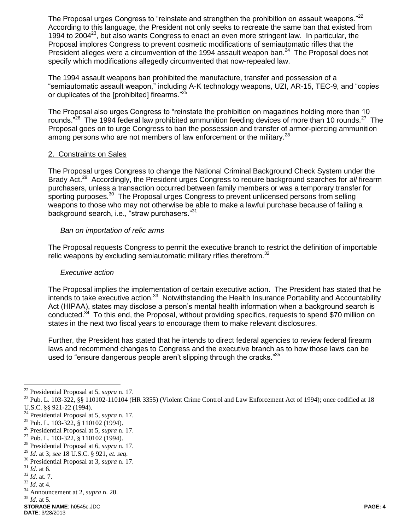The Proposal urges Congress to "reinstate and strengthen the prohibition on assault weapons." $^{22}$ According to this language, the President not only seeks to recreate the same ban that existed from 1994 to 2004<sup>23</sup>, but also wants Congress to enact an even more stringent law. In particular, the Proposal implores Congress to prevent cosmetic modifications of semiautomatic rifles that the President alleges were a circumvention of the 1994 assault weapon ban. $^{24}$  The Proposal does not specify which modifications allegedly circumvented that now-repealed law.

The 1994 assault weapons ban prohibited the manufacture, transfer and possession of a "semiautomatic assault weapon," including A-K technology weapons, UZI, AR-15, TEC-9, and "copies or duplicates of the [prohibited] firearms." $^{25}$ 

The Proposal also urges Congress to "reinstate the prohibition on magazines holding more than 10 rounds."<sup>26</sup> The 1994 federal law prohibited ammunition feeding devices of more than 10 rounds.<sup>27</sup> The Proposal goes on to urge Congress to ban the possession and transfer of armor-piercing ammunition among persons who are not members of law enforcement or the military.<sup>28</sup>

## 2. Constraints on Sales

The Proposal urges Congress to change the National Criminal Background Check System under the Brady Act.<sup>29</sup> Accordingly, the President urges Congress to require background searches for all firearm purchasers, unless a transaction occurred between family members or was a temporary transfer for sporting purposes.<sup>30</sup> The Proposal urges Congress to prevent unlicensed persons from selling weapons to those who may not otherwise be able to make a lawful purchase because of failing a background search, i.e., "straw purchasers."<sup>31</sup>

### *Ban on importation of relic arms*

The Proposal requests Congress to permit the executive branch to restrict the definition of importable relic weapons by excluding semiautomatic military rifles therefrom.<sup>32</sup>

## *Executive action*

The Proposal implies the implementation of certain executive action. The President has stated that he intends to take executive action.<sup>33</sup> Notwithstanding the Health Insurance Portability and Accountability Act (HIPAA), states may disclose a person's mental health information when a background search is conducted.<sup>34</sup> To this end, the Proposal, without providing specifics, requests to spend \$70 million on states in the next two fiscal years to encourage them to make relevant disclosures.

Further, the President has stated that he intends to direct federal agencies to review federal firearm laws and recommend changes to Congress and the executive branch as to how those laws can be used to "ensure dangerous people aren't slipping through the cracks."35

 $\overline{a}$ 

<sup>22</sup> Presidential Proposal at 5, *supra* n. 17.

<sup>&</sup>lt;sup>23</sup> Pub. L. 103-322, §§ 110102-110104 (HR 3355) (Violent Crime Control and Law Enforcement Act of 1994); once codified at 18 U.S.C. §§ 921-22 (1994).

<sup>24</sup> Presidential Proposal at 5, *supra* n. 17.

<sup>25</sup> Pub. L. 103-322, § 110102 (1994).

<sup>26</sup> Presidential Proposal at 5, *supra* n. 17.

<sup>27</sup> Pub. L. 103-322, § 110102 (1994).

<sup>28</sup> Presidential Proposal at 6, *supra* n. 17.

<sup>29</sup> *Id.* at 3; *see* 18 U.S.C. § 921, *et. seq.* 

<sup>30</sup> Presidential Proposal at 3, *supra* n. 17.

<sup>31</sup> *Id.* at 6.

 $^{32}$  *Id.* at. 7. <sup>33</sup> *Id.* at 4.

<sup>34</sup> Announcement at 2, *supra* n. 20.

**STORAGE NAME**: h0545c.JDC **PAGE: 4** <sup>35</sup> *Id.* at 5.

**DATE**: 3/28/2013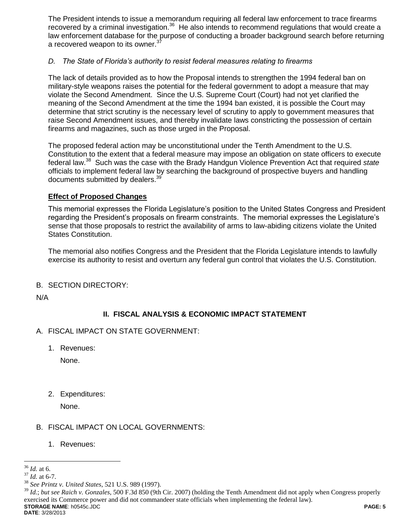The President intends to issue a memorandum requiring all federal law enforcement to trace firearms recovered by a criminal investigation.<sup>36</sup> He also intends to recommend regulations that would create a law enforcement database for the purpose of conducting a broader background search before returning a recovered weapon to its owner.<sup>37</sup>

## *D. The State of Florida's authority to resist federal measures relating to firearms*

The lack of details provided as to how the Proposal intends to strengthen the 1994 federal ban on military-style weapons raises the potential for the federal government to adopt a measure that may violate the Second Amendment. Since the U.S. Supreme Court (Court) had not yet clarified the meaning of the Second Amendment at the time the 1994 ban existed, it is possible the Court may determine that strict scrutiny is the necessary level of scrutiny to apply to government measures that raise Second Amendment issues, and thereby invalidate laws constricting the possession of certain firearms and magazines, such as those urged in the Proposal.

The proposed federal action may be unconstitutional under the Tenth Amendment to the U.S. Constitution to the extent that a federal measure may impose an obligation on state officers to execute federal law.<sup>38</sup> Such was the case with the Brady Handgun Violence Prevention Act that required *state* officials to implement federal law by searching the background of prospective buyers and handling documents submitted by dealers.<sup>39</sup>

## **Effect of Proposed Changes**

This memorial expresses the Florida Legislature's position to the United States Congress and President regarding the President's proposals on firearm constraints. The memorial expresses the Legislature's sense that those proposals to restrict the availability of arms to law-abiding citizens violate the United States Constitution.

The memorial also notifies Congress and the President that the Florida Legislature intends to lawfully exercise its authority to resist and overturn any federal gun control that violates the U.S. Constitution.

## B. SECTION DIRECTORY:

N/A

## **II. FISCAL ANALYSIS & ECONOMIC IMPACT STATEMENT**

- A. FISCAL IMPACT ON STATE GOVERNMENT:
	- 1. Revenues:

None.

2. Expenditures:

None.

## B. FISCAL IMPACT ON LOCAL GOVERNMENTS:

1. Revenues:

**STORAGE NAME**: h0545c.JDC **PAGE: 5** <sup>39</sup> *Id.*; *but see Raich v. Gonzales*, 500 F.3d 850 (9th Cir. 2007) (holding the Tenth Amendment did not apply when Congress properly exercised its Commerce power and did not commandeer state officials when implementing the federal law).

 $\overline{a}$ <sup>36</sup> *Id.* at 6.

<sup>37</sup> *Id.* at 6-7.

<sup>38</sup> *See Printz v. United States*, 521 U.S. 989 (1997).